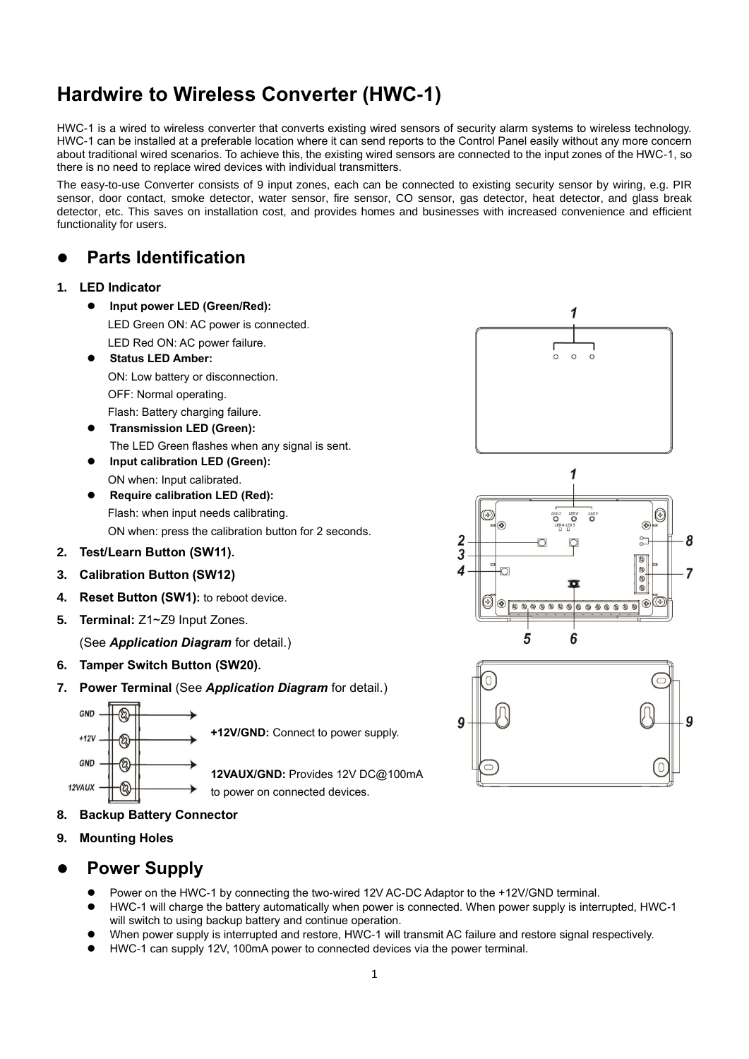# **Hardwire to Wireless Converter (HWC-1)**

HWC-1 is a wired to wireless converter that converts existing wired sensors of security alarm systems to wireless technology. HWC-1 can be installed at a preferable location where it can send reports to the Control Panel easily without any more concern about traditional wired scenarios. To achieve this, the existing wired sensors are connected to the input zones of the HWC-1, so there is no need to replace wired devices with individual transmitters.

The easy-to-use Converter consists of 9 input zones, each can be connected to existing security sensor by wiring, e.g. PIR sensor, door contact, smoke detector, water sensor, fire sensor, CO sensor, gas detector, heat detector, and glass break detector, etc. This saves on installation cost, and provides homes and businesses with increased convenience and efficient functionality for users.

### ⚫ **Parts Identification**

#### **1. LED Indicator**

- ⚫ **Input power LED (Green/Red):**  LED Green ON: AC power is connected. LED Red ON: AC power failure. ⚫ **Status LED Amber:**
	- ON: Low battery or disconnection.

OFF: Normal operating.

- Flash: Battery charging failure.
- ⚫ **Transmission LED (Green):**  The LED Green flashes when any signal is sent.
- ⚫ **Input calibration LED (Green):**
- ON when: Input calibrated. ⚫ **Require calibration LED (Red):** Flash: when input needs calibrating.

ON when: press the calibration button for 2 seconds.

- **2. Test/Learn Button (SW11).**
- **3. Calibration Button (SW12)**
- **4. Reset Button (SW1):** to reboot device.
- **5. Terminal:** Z1~Z9 Input Zones.

(See *Application Diagram* for detail.)

- **6. Tamper Switch Button (SW20).**
- **7. Power Terminal** (See *Application Diagram* for detail.)



**+12V/GND:** Connect to power supply.

**12VAUX/GND:** Provides 12V DC@100mA to power on connected devices.

- **8. Backup Battery Connector**
- **9. Mounting Holes**

### ⚫ **Power Supply**

- Power on the HWC-1 by connecting the two-wired 12V AC-DC Adaptor to the +12V/GND terminal.
- ⚫ HWC-1 will charge the battery automatically when power is connected. When power supply is interrupted, HWC-1 will switch to using backup battery and continue operation.
- ⚫ When power supply is interrupted and restore, HWC-1 will transmit AC failure and restore signal respectively.
- ⚫ HWC-1 can supply 12V, 100mA power to connected devices via the power terminal.





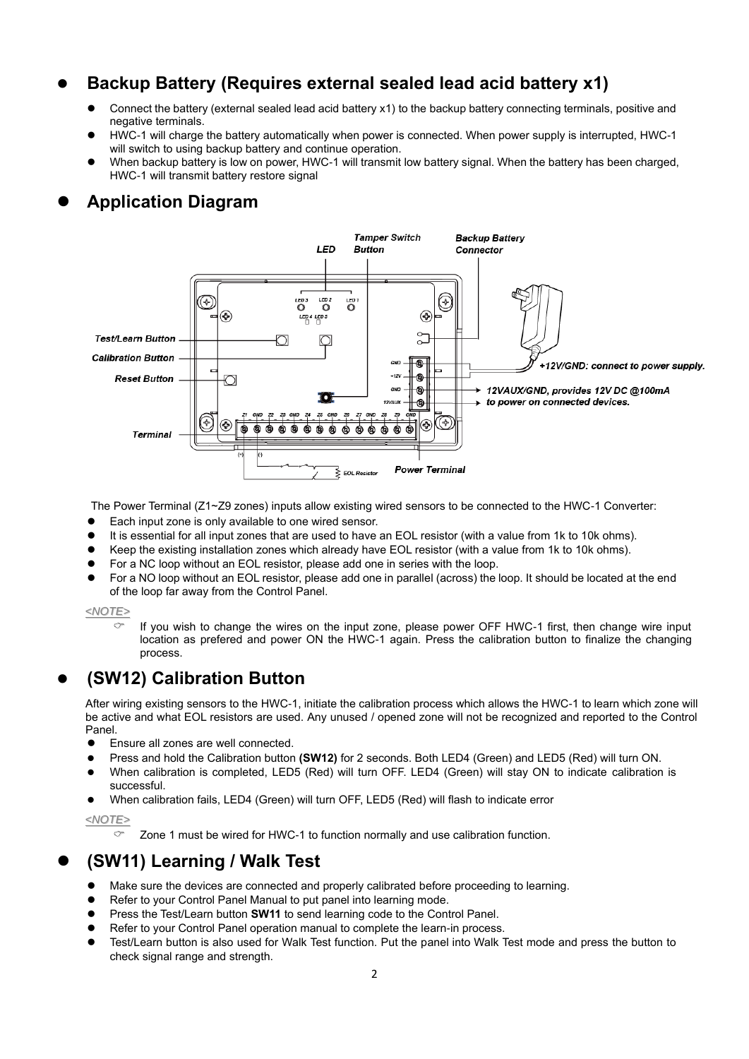## ⚫ **Backup Battery (Requires external sealed lead acid battery x1)**

- ⚫ Connect the battery (external sealed lead acid battery x1) to the backup battery connecting terminals, positive and negative terminals.
- ⚫ HWC-1 will charge the battery automatically when power is connected. When power supply is interrupted, HWC-1 will switch to using backup battery and continue operation.
- When backup battery is low on power, HWC-1 will transmit low battery signal. When the battery has been charged, HWC-1 will transmit battery restore signal

### ⚫ **Application Diagram**



The Power Terminal (Z1~Z9 zones) inputs allow existing wired sensors to be connected to the HWC-1 Converter:

- Each input zone is only available to one wired sensor.
- It is essential for all input zones that are used to have an EOL resistor (with a value from 1k to 10k ohms).
- ⚫ Keep the existing installation zones which already have EOL resistor (with a value from 1k to 10k ohms).
- ⚫ For a NC loop without an EOL resistor, please add one in series with the loop.
- ⚫ For a NO loop without an EOL resistor, please add one in parallel (across) the loop. It should be located at the end of the loop far away from the Control Panel.

#### *<NOTE>*

 $\degree$  If you wish to change the wires on the input zone, please power OFF HWC-1 first, then change wire input location as prefered and power ON the HWC-1 again. Press the calibration button to finalize the changing process.

### ⚫ **(SW12) Calibration Button**

After wiring existing sensors to the HWC-1, initiate the calibration process which allows the HWC-1 to learn which zone will be active and what EOL resistors are used. Any unused / opened zone will not be recognized and reported to the Control Panel.

- Ensure all zones are well connected.
- ⚫ Press and hold the Calibration button **(SW12)** for 2 seconds. Both LED4 (Green) and LED5 (Red) will turn ON.
- When calibration is completed, LED5 (Red) will turn OFF. LED4 (Green) will stay ON to indicate calibration is successful.
- ⚫ When calibration fails, LED4 (Green) will turn OFF, LED5 (Red) will flash to indicate error

*<NOTE>*

Zone 1 must be wired for HWC-1 to function normally and use calibration function.

### ⚫ **(SW11) Learning / Walk Test**

- Make sure the devices are connected and properly calibrated before proceeding to learning.
- Refer to your Control Panel Manual to put panel into learning mode.
- Press the Test/Learn button **SW11** to send learning code to the Control Panel.
- Refer to your Control Panel operation manual to complete the learn-in process.
- ⚫ Test/Learn button is also used for Walk Test function. Put the panel into Walk Test mode and press the button to check signal range and strength.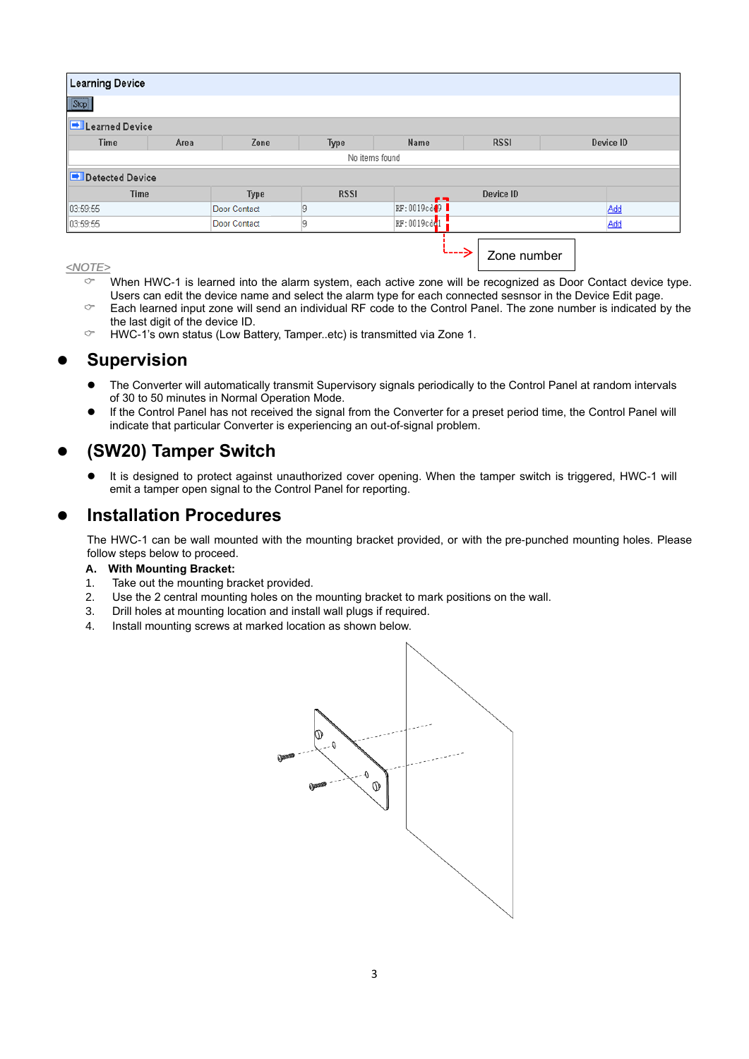| <b>Learning Device</b> |      |                     |             |                            |             |           |
|------------------------|------|---------------------|-------------|----------------------------|-------------|-----------|
| Stop                   |      |                     |             |                            |             |           |
| <b>Externed Device</b> |      |                     |             |                            |             |           |
| <b>Time</b>            | Area | Zone                | Type        | Name                       | <b>RSSI</b> | Device ID |
| No items found         |      |                     |             |                            |             |           |
| Detected Device        |      |                     |             |                            |             |           |
| <b>Time</b>            |      | Type                | <b>RSSI</b> | e m                        | Device ID   |           |
| 03:59:55               |      | Door Contact        | 19          | RF:0019cd <sup>19</sup>    |             | Add       |
| 03:59:55               |      | <b>Door Contact</b> | 19          | $RF:0019cd$ <sup>1</sup>   |             | Add       |
|                        |      |                     |             | $\leftarrow$ $\rightarrow$ | Zone number |           |

#### *<NOTE>*

- $\degree$  When HWC-1 is learned into the alarm system, each active zone will be recognized as Door Contact device type. Users can edit the device name and select the alarm type for each connected sesnsor in the Device Edit page.
- $\degree$  Each learned input zone will send an individual RF code to the Control Panel. The zone number is indicated by the the last digit of the device ID.
- $\degree$  HWC-1's own status (Low Battery, Tamper..etc) is transmitted via Zone 1.

#### ⚫ **Supervision**

- ⚫ The Converter will automatically transmit Supervisory signals periodically to the Control Panel at random intervals of 30 to 50 minutes in Normal Operation Mode.
- If the Control Panel has not received the signal from the Converter for a preset period time, the Control Panel will indicate that particular Converter is experiencing an out-of-signal problem.

#### ⚫ **(SW20) Tamper Switch**

⚫ It is designed to protect against unauthorized cover opening. When the tamper switch is triggered, HWC-1 will emit a tamper open signal to the Control Panel for reporting.

#### ⚫ **Installation Procedures**

The HWC-1 can be wall mounted with the mounting bracket provided, or with the pre-punched mounting holes. Please follow steps below to proceed.

#### **A. With Mounting Bracket:**

- 1. Take out the mounting bracket provided.
- 2. Use the 2 central mounting holes on the mounting bracket to mark positions on the wall.
- 3. Drill holes at mounting location and install wall plugs if required.
- 4. Install mounting screws at marked location as shown below.